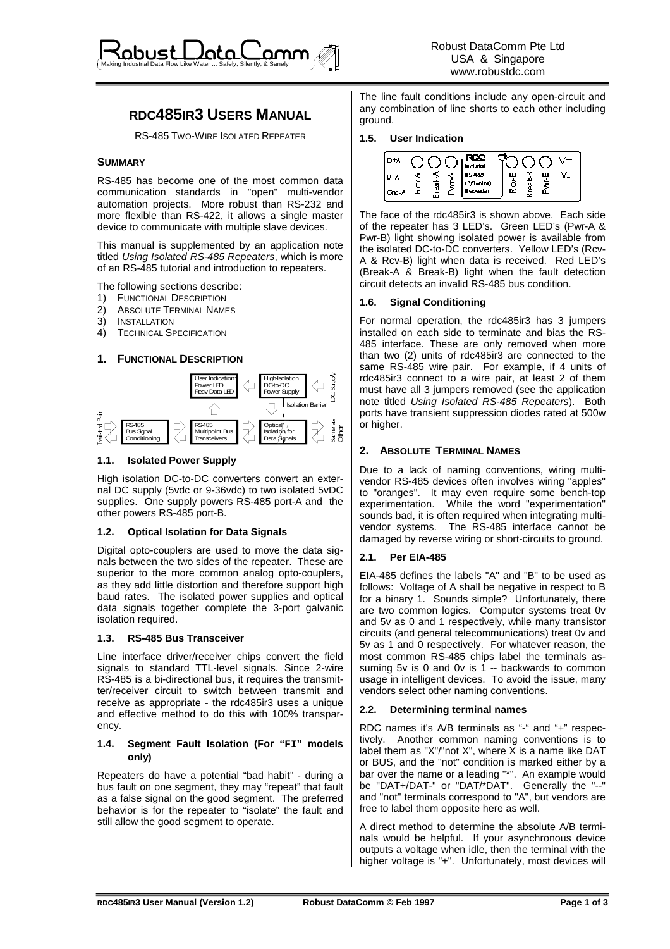

# **RDC485IR3 USERS MANUAL**

RS-485 TWO-WIRE ISOLATED REPEATER

### **SUMMARY**

RS-485 has become one of the most common data communication standards in "open" multi-vendor automation projects. More robust than RS-232 and more flexible than RS-422, it allows a single master device to communicate with multiple slave devices.

This manual is supplemented by an application note titled Using Isolated RS-485 Repeaters, which is more of an RS-485 tutorial and introduction to repeaters.

The following sections describe:

- 1) FUNCTIONAL DESCRIPTION
- 2) ABSOLUTE TERMINAL NAMES
- 3) INSTALLATION
- 4) TECHNICAL SPECIFICATION

### **1. FUNCTIONAL DESCRIPTION**



### **1.1. Isolated Power Supply**

High isolation DC-to-DC converters convert an external DC supply (5vdc or 9-36vdc) to two isolated 5vDC supplies. One supply powers RS-485 port-A and the other powers RS-485 port-B.

#### **1.2. Optical Isolation for Data Signals**

Digital opto-couplers are used to move the data signals between the two sides of the repeater. These are superior to the more common analog opto-couplers, as they add little distortion and therefore support high baud rates. The isolated power supplies and optical data signals together complete the 3-port galvanic isolation required.

#### **1.3. RS-485 Bus Transceiver**

Line interface driver/receiver chips convert the field signals to standard TTL-level signals. Since 2-wire RS-485 is a bi-directional bus, it requires the transmitter/receiver circuit to switch between transmit and receive as appropriate - the rdc485ir3 uses a unique and effective method to do this with 100% transparency.

#### **1.4. Segment Fault Isolation (For "FI" models only)**

Repeaters do have a potential "bad habit" - during a bus fault on one segment, they may "repeat" that fault as a false signal on the good segment. The preferred behavior is for the repeater to "isolate" the fault and still allow the good segment to operate.

The line fault conditions include any open-circuit and any combination of line shorts to each other including ground.

#### **1.5. User Indication**

ī



The face of the rdc485ir3 is shown above. Each side of the repeater has 3 LED's. Green LED's (Pwr-A & Pwr-B) light showing isolated power is available from the isolated DC-to-DC converters. Yellow LED's (Rcv-A & Rcv-B) light when data is received. Red LED's (Break-A & Break-B) light when the fault detection circuit detects an invalid RS-485 bus condition.

# **1.6. Signal Conditioning**

For normal operation, the rdc485ir3 has 3 jumpers installed on each side to terminate and bias the RS-485 interface. These are only removed when more than two (2) units of rdc485ir3 are connected to the same RS-485 wire pair. For example, if 4 units of rdc485ir3 connect to a wire pair, at least 2 of them must have all 3 jumpers removed (see the application note titled Using Isolated RS-485 Repeaters). Both ports have transient suppression diodes rated at 500w or higher.

# **2. ABSOLUTE TERMINAL NAMES**

Due to a lack of naming conventions, wiring multivendor RS-485 devices often involves wiring "apples" to "oranges". It may even require some bench-top experimentation. While the word "experimentation" sounds bad, it is often required when integrating multivendor systems. The RS-485 interface cannot be damaged by reverse wiring or short-circuits to ground.

#### **2.1. Per EIA-485**

EIA-485 defines the labels "A" and "B" to be used as follows: Voltage of A shall be negative in respect to B for a binary 1. Sounds simple? Unfortunately, there are two common logics. Computer systems treat 0v and 5v as 0 and 1 respectively, while many transistor circuits (and general telecommunications) treat 0v and 5v as 1 and 0 respectively. For whatever reason, the most common RS-485 chips label the terminals assuming 5y is 0 and 0y is 1 -- backwards to common usage in intelligent devices. To avoid the issue, many vendors select other naming conventions.

# **2.2. Determining terminal names**

RDC names it's A/B terminals as "-" and "+" respectively. Another common naming conventions is to label them as "X"/"not X", where  $\overline{X}$  is a name like DAT or BUS, and the "not" condition is marked either by a bar over the name or a leading "\*". An example would be "DAT+/DAT-" or "DAT/\*DAT". Generally the "--" and "not" terminals correspond to "A", but vendors are free to label them opposite here as well.

A direct method to determine the absolute A/B terminals would be helpful. If your asynchronous device outputs a voltage when idle, then the terminal with the higher voltage is "+". Unfortunately, most devices will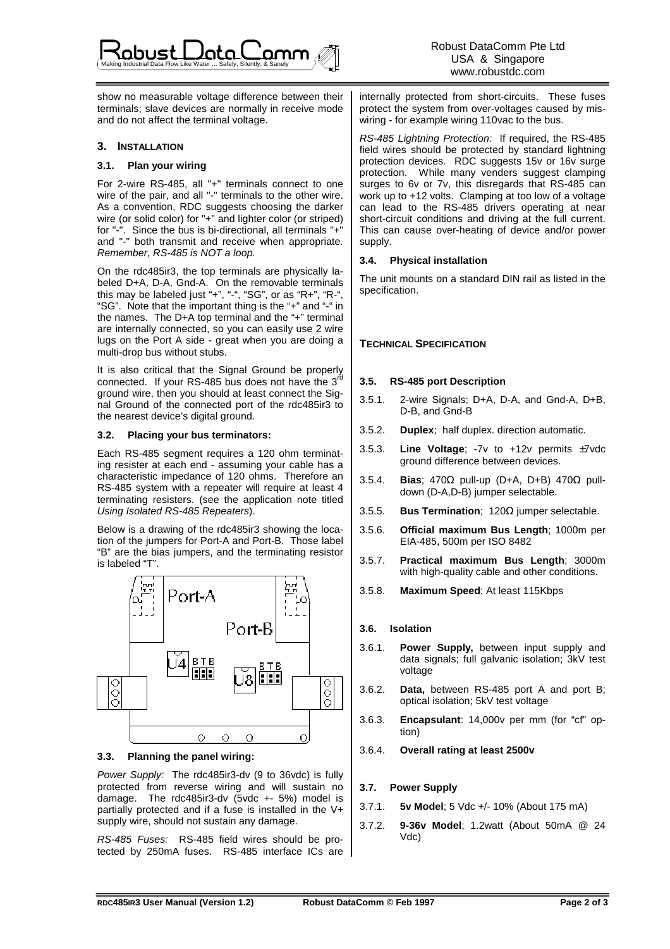show no measurable voltage difference between their terminals; slave devices are normally in receive mode and do not affect the terminal voltage.

### **3. INSTALLATION**

### **3.1. Plan your wiring**

For 2-wire RS-485, all "+" terminals connect to one wire of the pair, and all "-" terminals to the other wire. As a convention, RDC suggests choosing the darker wire (or solid color) for "+" and lighter color (or striped) for "-". Since the bus is bi-directional, all terminals "+" and "-" both transmit and receive when appropriate. Remember, RS-485 is NOT a loop.

On the rdc485ir3, the top terminals are physically labeled D+A, D-A, Gnd-A. On the removable terminals this may be labeled just "+", "-", "SG", or as "R+", "R-", "SG". Note that the important thing is the "+" and "-" in the names. The D+A top terminal and the "+" terminal are internally connected, so you can easily use 2 wire lugs on the Port A side - great when you are doing a multi-drop bus without stubs.

It is also critical that the Signal Ground be properly connected. If your RS-485 bus does not have the 3<sup>rd</sup> ground wire, then you should at least connect the Signal Ground of the connected port of the rdc485ir3 to the nearest device's digital ground.

### **3.2. Placing your bus terminators:**

Each RS-485 segment requires a 120 ohm terminating resister at each end - assuming your cable has a characteristic impedance of 120 ohms. Therefore an RS-485 system with a repeater will require at least 4 terminating resisters. (see the application note titled Using Isolated RS-485 Repeaters).

Below is a drawing of the rdc485ir3 showing the location of the jumpers for Port-A and Port-B. Those label "B" are the bias jumpers, and the terminating resistor is labeled "T".



# **3.3. Planning the panel wiring:**

Power Supply: The rdc485ir3-dv (9 to 36vdc) is fully protected from reverse wiring and will sustain no damage. The rdc485ir3-dv (5vdc +- 5%) model is partially protected and if a fuse is installed in the V+ supply wire, should not sustain any damage.

RS-485 Fuses: RS-485 field wires should be protected by 250mA fuses. RS-485 interface ICs are

internally protected from short-circuits. These fuses protect the system from over-voltages caused by miswiring - for example wiring 110vac to the bus.

RS-485 Lightning Protection: If required, the RS-485 field wires should be protected by standard lightning protection devices. RDC suggests 15v or 16v surge protection. While many venders suggest clamping surges to 6v or 7v, this disregards that RS-485 can work up to +12 volts. Clamping at too low of a voltage can lead to the RS-485 drivers operating at near short-circuit conditions and driving at the full current. This can cause over-heating of device and/or power supply.

# **3.4. Physical installation**

ī

The unit mounts on a standard DIN rail as listed in the specification.

# **TECHNICAL SPECIFICATION**

# **3.5. RS-485 port Description**

- 3.5.1. 2-wire Signals; D+A, D-A, and Gnd-A, D+B, D-B, and Gnd-B
- 3.5.2. **Duplex**; half duplex. direction automatic.
- 3.5.3. **Line Voltage**; -7v to +12v permits ±7vdc ground difference between devices.
- 3.5.4. **Bias**; 470Ω pull-up (D+A, D+B) 470Ω pulldown (D-A,D-B) jumper selectable.
- 3.5.5. **Bus Termination**; 120Ω jumper selectable.
- 3.5.6. **Official maximum Bus Length**; 1000m per EIA-485, 500m per ISO 8482
- 3.5.7. **Practical maximum Bus Length**; 3000m with high-quality cable and other conditions.
- 3.5.8. **Maximum Speed**; At least 115Kbps

# **3.6. Isolation**

- 3.6.1. **Power Supply,** between input supply and data signals; full galvanic isolation; 3kV test voltage
- 3.6.2. **Data,** between RS-485 port A and port B; optical isolation; 5kV test voltage
- 3.6.3. **Encapsulant**: 14,000v per mm (for "cf" option)
- 3.6.4. **Overall rating at least 2500v**

# **3.7. Power Supply**

- 3.7.1. **5v Model**; 5 Vdc +/- 10% (About 175 mA)
- 3.7.2. **9-36v Model**; 1.2watt (About 50mA @ 24 Vdc)